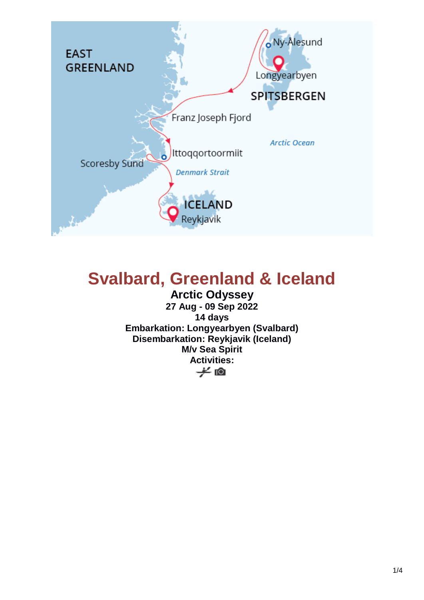

# **Svalbard, Greenland & Iceland**

**Arctic Odyssey 27 Aug - 09 Sep 2022 14 days Embarkation: Longyearbyen (Svalbard) Disembarkation: Reykjavik (Iceland) M/v Sea Spirit Activities:**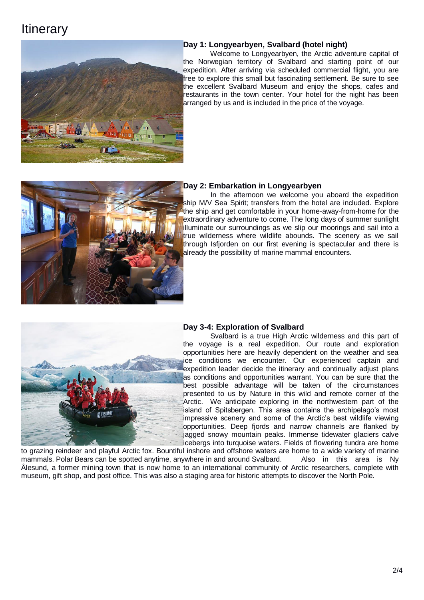## **Itinerary**



#### **Day 1: Longyearbyen, Svalbard (hotel night)**

Welcome to Longyearbyen, the Arctic adventure capital of the Norwegian territory of Svalbard and starting point of our expedition. After arriving via scheduled commercial flight, you are free to explore this small but fascinating settlement. Be sure to see the excellent Svalbard Museum and enjoy the shops, cafes and restaurants in the town center. Your hotel for the night has been arranged by us and is included in the price of the voyage.



#### **Day 2: Embarkation in Longyearbyen**

In the afternoon we welcome you aboard the expedition ship M/V Sea Spirit; transfers from the hotel are included. Explore the ship and get comfortable in your home-away-from-home for the extraordinary adventure to come. The long days of summer sunlight illuminate our surroundings as we slip our moorings and sail into a true wilderness where wildlife abounds. The scenery as we sail through Isfjorden on our first evening is spectacular and there is already the possibility of marine mammal encounters.



### **Day 3-4: Exploration of Svalbard**

Svalbard is a true High Arctic wilderness and this part of the voyage is a real expedition. Our route and exploration opportunities here are heavily dependent on the weather and sea ice conditions we encounter. Our experienced captain and expedition leader decide the itinerary and continually adjust plans as conditions and opportunities warrant. You can be sure that the best possible advantage will be taken of the circumstances presented to us by Nature in this wild and remote corner of the Arctic. We anticipate exploring in the northwestern part of the island of Spitsbergen. This area contains the archipelago's most impressive scenery and some of the Arctic's best wildlife viewing opportunities. Deep fjords and narrow channels are flanked by jagged snowy mountain peaks. Immense tidewater glaciers calve icebergs into turquoise waters. Fields of flowering tundra are home

to grazing reindeer and playful Arctic fox. Bountiful inshore and offshore waters are home to a wide variety of marine mammals. Polar Bears can be spotted anytime, anywhere in and around Svalbard. Also in this area is Ny Ålesund, a former mining town that is now home to an international community of Arctic researchers, complete with museum, gift shop, and post office. This was also a staging area for historic attempts to discover the North Pole.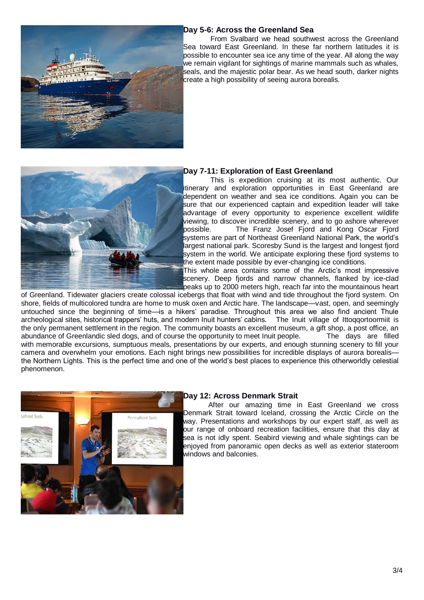

#### **Day 5-6: Across the Greenland Sea**

From Svalbard we head southwest across the Greenland Sea toward East Greenland. In these far northern latitudes it is possible to encounter sea ice any time of the year. All along the way we remain vigilant for sightings of marine mammals such as whales, seals, and the majestic polar bear. As we head south, darker nights create a high possibility of seeing aurora borealis.



#### **Day 7-11: Exploration of East Greenland**

This is expedition cruising at its most authentic. Our itinerary and exploration opportunities in East Greenland are dependent on weather and sea ice conditions. Again you can be sure that our experienced captain and expedition leader will take advantage of every opportunity to experience excellent wildlife viewing, to discover incredible scenery, and to go ashore wherever possible. The Franz Josef Fjord and Kong Oscar Fjord systems are part of Northeast Greenland National Park, the world's largest national park. Scoresby Sund is the largest and longest fjord system in the world. We anticipate exploring these fiord systems to the extent made possible by ever-changing ice conditions.

This whole area contains some of the Arctic's most impressive scenery. Deep fjords and narrow channels, flanked by ice-clad peaks up to 2000 meters high, reach far into the mountainous heart

of Greenland. Tidewater glaciers create colossal icebergs that float with wind and tide throughout the fjord system. On shore, fields of multicolored tundra are home to musk oxen and Arctic hare. The landscape—vast, open, and seemingly untouched since the beginning of time—is a hikers' paradise. Throughout this area we also find ancient Thule archeological sites, historical trappers' huts, and modern Inuit hunters' cabins. The Inuit village of Ittoqqortoormiit is the only permanent settlement in the region. The community boasts an excellent museum, a gift shop, a post office, an abundance of Greenlandic sled dogs, and of course the opportunity to meet Inuit people. The days are filled with memorable excursions, sumptuous meals, presentations by our experts, and enough stunning scenery to fill your camera and overwhelm your emotions. Each night brings new possibilities for incredible displays of aurora borealis the Northern Lights. This is the perfect time and one of the world's best places to experience this otherworldly celestial phenomenon.



#### **Day 12: Across Denmark Strait**

After our amazing time in East Greenland we cross Denmark Strait toward Iceland, crossing the Arctic Circle on the way. Presentations and workshops by our expert staff, as well as our range of onboard recreation facilities, ensure that this day at sea is not idly spent. Seabird viewing and whale sightings can be enjoyed from panoramic open decks as well as exterior stateroom windows and balconies.